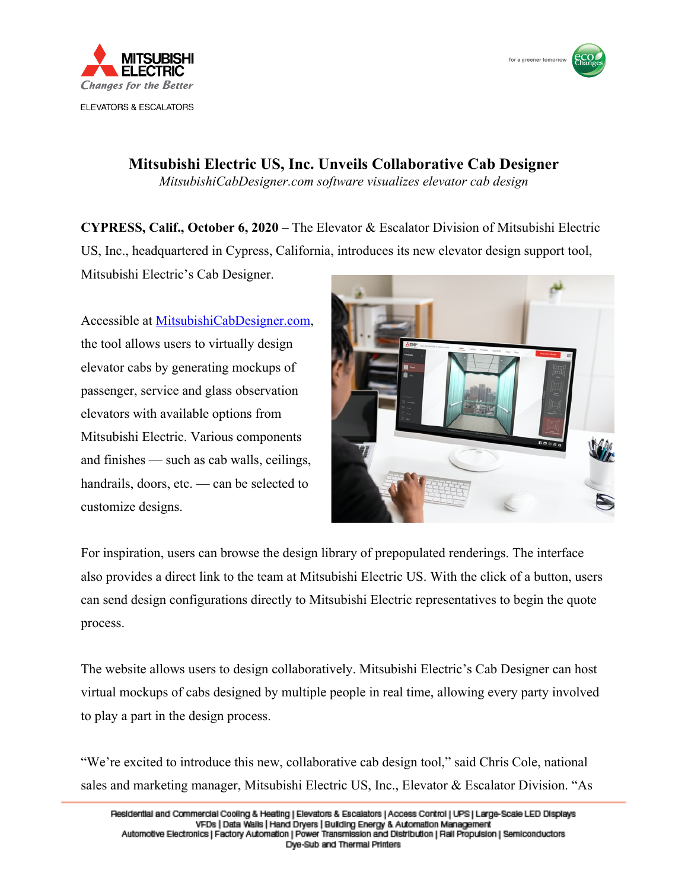



**Mitsubishi Electric US, Inc. Unveils Collaborative Cab Designer** *MitsubishiCabDesigner.com software visualizes elevator cab design*

**CYPRESS, Calif., October 6, 2020** – The Elevator & Escalator Division of Mitsubishi Electric US, Inc., headquartered in Cypress, California, introduces its new elevator design support tool,

Mitsubishi Electric's Cab Designer.

Accessible at [MitsubishiCabDesigner.com](https://mitsubishicabdesigner.com), the tool allows users to virtually design elevator cabs by generating mockups of passenger, service and glass observation elevators with available options from Mitsubishi Electric. Various components and finishes — such as cab walls, ceilings, handrails, doors, etc. — can be selected to customize designs.



For inspiration, users can browse the design library of prepopulated renderings. The interface also provides a direct link to the team at Mitsubishi Electric US. With the click of a button, users can send design configurations directly to Mitsubishi Electric representatives to begin the quote process.

The website allows users to design collaboratively. Mitsubishi Electric's Cab Designer can host virtual mockups of cabs designed by multiple people in real time, allowing every party involved to play a part in the design process.

"We're excited to introduce this new, collaborative cab design tool," said Chris Cole, national sales and marketing manager, Mitsubishi Electric US, Inc., Elevator & Escalator Division. "As